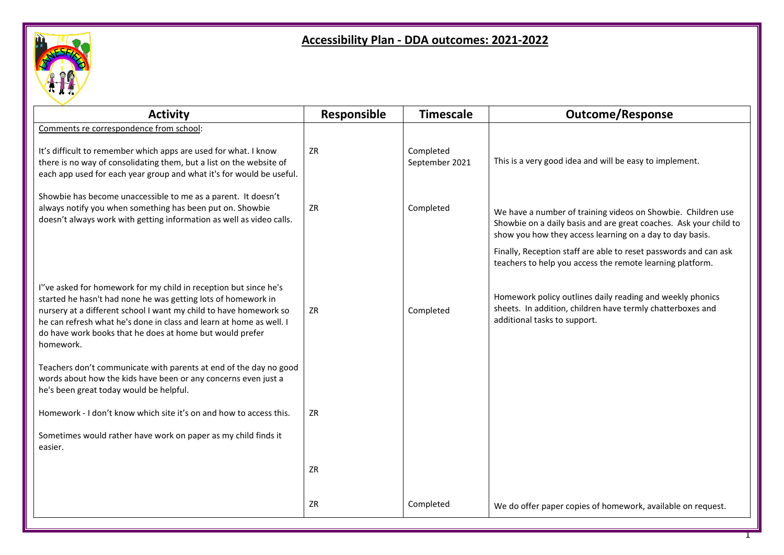

## **Accessibility Plan - DDA outcomes: 2021-2022**

| <b>Activity</b>                                                                                                                                                                                                                                                                                                                                        | Responsible | <b>Timescale</b>            | <b>Outcome/Response</b>                                                                                                                                                                       |
|--------------------------------------------------------------------------------------------------------------------------------------------------------------------------------------------------------------------------------------------------------------------------------------------------------------------------------------------------------|-------------|-----------------------------|-----------------------------------------------------------------------------------------------------------------------------------------------------------------------------------------------|
| Comments re correspondence from school:                                                                                                                                                                                                                                                                                                                |             |                             |                                                                                                                                                                                               |
| It's difficult to remember which apps are used for what. I know<br>there is no way of consolidating them, but a list on the website of<br>each app used for each year group and what it's for would be useful.                                                                                                                                         | ZR          | Completed<br>September 2021 | This is a very good idea and will be easy to implement.                                                                                                                                       |
| Showbie has become unaccessible to me as a parent. It doesn't<br>always notify you when something has been put on. Showbie<br>doesn't always work with getting information as well as video calls.                                                                                                                                                     | ZR          | Completed                   | We have a number of training videos on Showbie. Children use<br>Showbie on a daily basis and are great coaches. Ask your child to<br>show you how they access learning on a day to day basis. |
|                                                                                                                                                                                                                                                                                                                                                        |             |                             | Finally, Reception staff are able to reset passwords and can ask<br>teachers to help you access the remote learning platform.                                                                 |
| I"ve asked for homework for my child in reception but since he's<br>started he hasn't had none he was getting lots of homework in<br>nursery at a different school I want my child to have homework so<br>he can refresh what he's done in class and learn at home as well. I<br>do have work books that he does at home but would prefer<br>homework. | ZR          | Completed                   | Homework policy outlines daily reading and weekly phonics<br>sheets. In addition, children have termly chatterboxes and<br>additional tasks to support.                                       |
| Teachers don't communicate with parents at end of the day no good<br>words about how the kids have been or any concerns even just a<br>he's been great today would be helpful.                                                                                                                                                                         |             |                             |                                                                                                                                                                                               |
| Homework - I don't know which site it's on and how to access this.                                                                                                                                                                                                                                                                                     | ZR          |                             |                                                                                                                                                                                               |
| Sometimes would rather have work on paper as my child finds it<br>easier.                                                                                                                                                                                                                                                                              |             |                             |                                                                                                                                                                                               |
|                                                                                                                                                                                                                                                                                                                                                        | ZR          |                             |                                                                                                                                                                                               |
|                                                                                                                                                                                                                                                                                                                                                        | ZR          | Completed                   | We do offer paper copies of homework, available on request.                                                                                                                                   |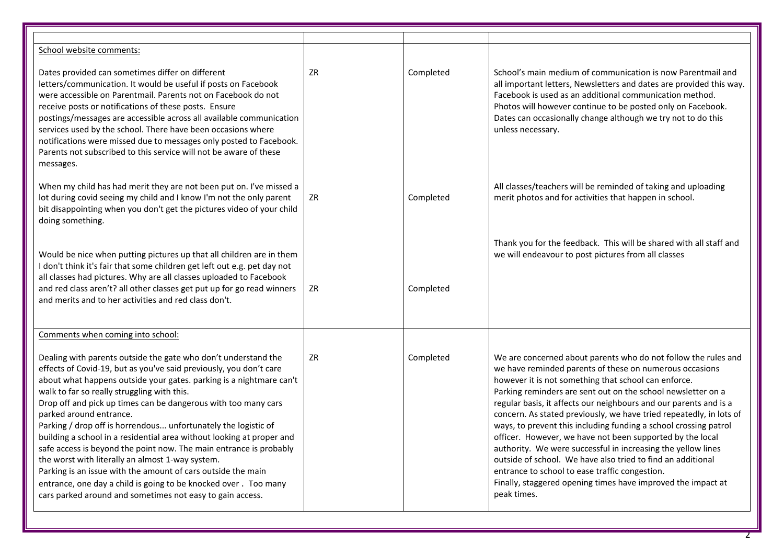| School website comments:                                                                                                                                                                                                                                                                                                                                                                                                                                                                                                                                                                                                                                                                                                                                                                                                     |    |           |                                                                                                                                                                                                                                                                                                                                                                                                                                                                                                                                                                                                                                                                                                                                                                                                |
|------------------------------------------------------------------------------------------------------------------------------------------------------------------------------------------------------------------------------------------------------------------------------------------------------------------------------------------------------------------------------------------------------------------------------------------------------------------------------------------------------------------------------------------------------------------------------------------------------------------------------------------------------------------------------------------------------------------------------------------------------------------------------------------------------------------------------|----|-----------|------------------------------------------------------------------------------------------------------------------------------------------------------------------------------------------------------------------------------------------------------------------------------------------------------------------------------------------------------------------------------------------------------------------------------------------------------------------------------------------------------------------------------------------------------------------------------------------------------------------------------------------------------------------------------------------------------------------------------------------------------------------------------------------------|
| Dates provided can sometimes differ on different<br>letters/communication. It would be useful if posts on Facebook<br>were accessible on Parentmail. Parents not on Facebook do not<br>receive posts or notifications of these posts. Ensure<br>postings/messages are accessible across all available communication<br>services used by the school. There have been occasions where<br>notifications were missed due to messages only posted to Facebook.<br>Parents not subscribed to this service will not be aware of these<br>messages.                                                                                                                                                                                                                                                                                  | ZR | Completed | School's main medium of communication is now Parentmail and<br>all important letters, Newsletters and dates are provided this way.<br>Facebook is used as an additional communication method.<br>Photos will however continue to be posted only on Facebook.<br>Dates can occasionally change although we try not to do this<br>unless necessary.                                                                                                                                                                                                                                                                                                                                                                                                                                              |
| When my child has had merit they are not been put on. I've missed a<br>lot during covid seeing my child and I know I'm not the only parent<br>bit disappointing when you don't get the pictures video of your child<br>doing something.                                                                                                                                                                                                                                                                                                                                                                                                                                                                                                                                                                                      | ZR | Completed | All classes/teachers will be reminded of taking and uploading<br>merit photos and for activities that happen in school.                                                                                                                                                                                                                                                                                                                                                                                                                                                                                                                                                                                                                                                                        |
| Would be nice when putting pictures up that all children are in them<br>I don't think it's fair that some children get left out e.g. pet day not<br>all classes had pictures. Why are all classes uploaded to Facebook<br>and red class aren't? all other classes get put up for go read winners<br>and merits and to her activities and red class don't.                                                                                                                                                                                                                                                                                                                                                                                                                                                                    | ZR | Completed | Thank you for the feedback. This will be shared with all staff and<br>we will endeavour to post pictures from all classes                                                                                                                                                                                                                                                                                                                                                                                                                                                                                                                                                                                                                                                                      |
| Comments when coming into school:                                                                                                                                                                                                                                                                                                                                                                                                                                                                                                                                                                                                                                                                                                                                                                                            |    |           |                                                                                                                                                                                                                                                                                                                                                                                                                                                                                                                                                                                                                                                                                                                                                                                                |
| Dealing with parents outside the gate who don't understand the<br>effects of Covid-19, but as you've said previously, you don't care<br>about what happens outside your gates. parking is a nightmare can't<br>walk to far so really struggling with this.<br>Drop off and pick up times can be dangerous with too many cars<br>parked around entrance.<br>Parking / drop off is horrendous unfortunately the logistic of<br>building a school in a residential area without looking at proper and<br>safe access is beyond the point now. The main entrance is probably<br>the worst with literally an almost 1-way system.<br>Parking is an issue with the amount of cars outside the main<br>entrance, one day a child is going to be knocked over. Too many<br>cars parked around and sometimes not easy to gain access. | ZR | Completed | We are concerned about parents who do not follow the rules and<br>we have reminded parents of these on numerous occasions<br>however it is not something that school can enforce.<br>Parking reminders are sent out on the school newsletter on a<br>regular basis, it affects our neighbours and our parents and is a<br>concern. As stated previously, we have tried repeatedly, in lots of<br>ways, to prevent this including funding a school crossing patrol<br>officer. However, we have not been supported by the local<br>authority. We were successful in increasing the yellow lines<br>outside of school. We have also tried to find an additional<br>entrance to school to ease traffic congestion.<br>Finally, staggered opening times have improved the impact at<br>peak times. |